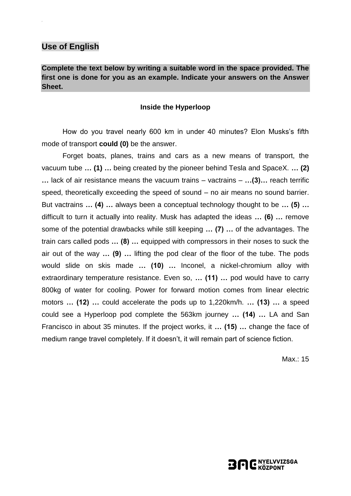### **Use of English**

**Complete the text below by writing a suitable word in the space provided. The first one is done for you as an example. Indicate your answers on the Answer Sheet.**

#### **Inside the Hyperloop**

How do you travel nearly 600 km in under 40 minutes? Elon Musks's fifth mode of transport **could (0)** be the answer.

Forget boats, planes, trains and cars as a new means of transport, the vacuum tube **… (1) …** being created by the pioneer behind Tesla and SpaceX. **… (2) …** lack of air resistance means the vacuum trains – vactrains – **…(3)…** reach terrific speed, theoretically exceeding the speed of sound – no air means no sound barrier. But vactrains **… (4) …** always been a conceptual technology thought to be **… (5) …** difficult to turn it actually into reality. Musk has adapted the ideas **… (6) …** remove some of the potential drawbacks while still keeping **… (7) …** of the advantages. The train cars called pods **… (8) …** equipped with compressors in their noses to suck the air out of the way **… (9) …** lifting the pod clear of the floor of the tube. The pods would slide on skis made **… (10) …** Inconel, a nickel-chromium alloy with extraordinary temperature resistance. Even so, **… (11) …** pod would have to carry 800kg of water for cooling. Power for forward motion comes from linear electric motors **… (12) …** could accelerate the pods up to 1,220km/h. **… (13) …** a speed could see a Hyperloop pod complete the 563km journey **… (14) …** LA and San Francisco in about 35 minutes. If the project works, it **… (15) …** change the face of medium range travel completely. If it doesn't, it will remain part of science fiction.

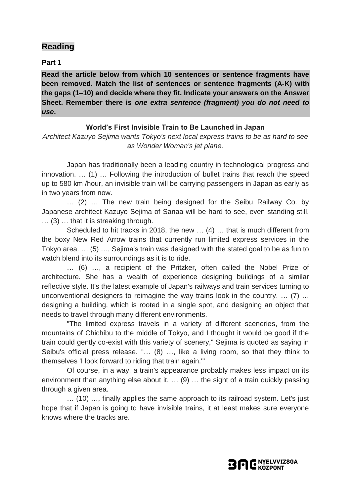#### **Part 1**

**Read the article below from which 10 sentences or sentence fragments have been removed. Match the list of sentences or sentence fragments (A-K) with the gaps (1–10) and decide where they fit. Indicate your answers on the Answer Sheet. Remember there is** *one extra sentence (fragment) you do not need to use***.**

### **World's First Invisible Train to Be Launched in Japan**

*Architect Kazuyo Sejima wants Tokyo's next local express trains to be as hard to see as Wonder Woman's jet plane.*

Japan has traditionally been a leading country in technological progress and innovation. … (1) … Following the introduction of bullet trains that reach the speed up to 580 km /hour, an invisible train will be carrying passengers in Japan as early as in two years from now.

… (2) … The new train being designed for the Seibu Railway Co. by Japanese architect Kazuyo Sejima of Sanaa will be hard to see, even standing still. … (3) … that it is streaking through.

Scheduled to hit tracks in 2018, the new … (4) … that is much different from the boxy New Red Arrow trains that currently run limited express services in the Tokyo area. … (5) …, Sejima's train was designed with the stated goal to be as fun to watch blend into its surroundings as it is to ride.

… (6) …, a recipient of the Pritzker, often called the Nobel Prize of architecture. She has a wealth of experience designing buildings of a similar reflective style. It's the latest example of Japan's railways and train services turning to unconventional designers to reimagine the way trains look in the country. … (7) … designing a building, which is rooted in a single spot, and designing an object that needs to travel through many different environments.

"The limited express travels in a variety of different sceneries, from the mountains of Chichibu to the middle of Tokyo, and I thought it would be good if the train could gently co-exist with this variety of scenery," Sejima is quoted as saying in Seibu's official press release. "… (8) …, like a living room, so that they think to themselves 'I look forward to riding that train again.'"

Of course, in a way, a train's appearance probably makes less impact on its environment than anything else about it. … (9) … the sight of a train quickly passing through a given area.

… (10) …, finally applies the same approach to its railroad system. Let's just hope that if Japan is going to have invisible trains, it at least makes sure everyone knows where the tracks are.

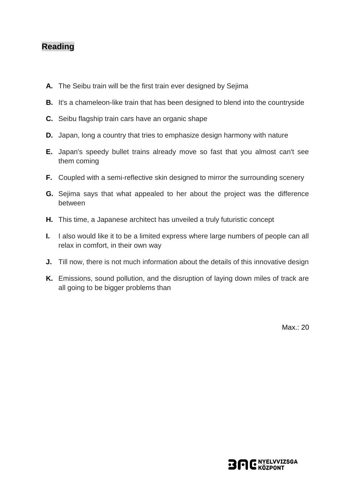- **A.** The Seibu train will be the first train ever designed by Sejima
- **B.** It's a chameleon-like train that has been designed to blend into the countryside
- **C.** Seibu flagship train cars have an organic shape
- **D.** Japan, long a country that tries to emphasize design harmony with nature
- **E.** Japan's speedy bullet trains already move so fast that you almost can't see them coming
- **F.** Coupled with a semi-reflective skin designed to mirror the surrounding scenery
- **G.** Sejima says that what appealed to her about the project was the difference between
- **H.** This time, a Japanese architect has unveiled a truly futuristic concept
- **I.** I also would like it to be a limited express where large numbers of people can all relax in comfort, in their own way
- **J.** Till now, there is not much information about the details of this innovative design
- **K.** Emissions, sound pollution, and the disruption of laying down miles of track are all going to be bigger problems than

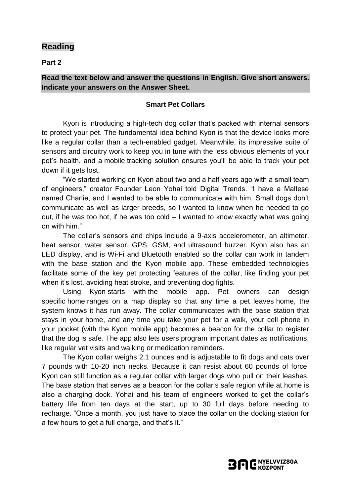**Part 2**

#### **Read the text below and answer the questions in English. Give short answers. Indicate your answers on the Answer Sheet.**

#### **Smart Pet Collars**

Kyon is introducing a high-tech dog collar that's packed with internal sensors to protect your pet. The fundamental idea behind Kyon is that the [device](http://kyontracker.com/) looks more like a regular collar than a [tech-enabled](http://kyontracker.com/) gadget. Meanwhile, its impressive suite of sensors and circuitry work to keep you in tune with the less obvious elements of your pet's health, and a [mobile](http://www.digitaltrends.com/mobile/) tracking solution ensures you'll be able to track your pet down if it gets lost.

"We started working on Kyon about two and a half years ago with a small team of engineers," creator Founder Leon Yohai told Digital Trends. "I have a Maltese named Charlie, and I wanted to be able to communicate with him. Small dogs don't communicate as well as larger breeds, so I wanted to know when he needed to go out, if he was too hot, if he was too cold – I wanted to know exactly what was going on with him."

The collar's sensors and chips include a 9-axis accelerometer, an altimeter, heat sensor, water sensor, GPS, GSM, and ultrasound buzzer. Kyon also has an LED display, and is Wi-Fi and Bluetooth enabled so the collar can work in tandem with the base station and the Kyon mobile app. These embedded technologies facilitate some of the key pet protecting features of the collar, like finding your pet when it's lost, avoiding heat stroke, and preventing dog fights.

Using Kyon starts with the mobile app. Pet owners can design specific [home](http://www.digitaltrends.com/home/) ranges on a map display so that any time a pet leaves [home,](http://www.digitaltrends.com/home/) the system knows it has run away. The collar communicates with the base station that stays in your [home,](http://www.digitaltrends.com/home/) and any time you take your pet for a walk, your cell phone in your pocket (with the Kyon mobile app) becomes a beacon for the collar to register that the dog is safe. The app also lets users program important dates as notifications, like regular vet visits and walking or medication reminders.

The Kyon collar weighs 2.1 ounces and is adjustable to fit dogs and cats over 7 pounds with 10-20 inch necks. Because it can resist about 60 pounds of force, Kyon can still function as a regular collar with larger dogs who pull on their leashes. The base station that serves as a beacon for the collar's safe region while at home is also a charging dock. Yohai and his team of engineers worked to get the collar's battery life from ten days at the start, up to 30 full days before needing to recharge. "Once a month, you just have to place the collar on the docking station for a few hours to get a full charge, and that's it."

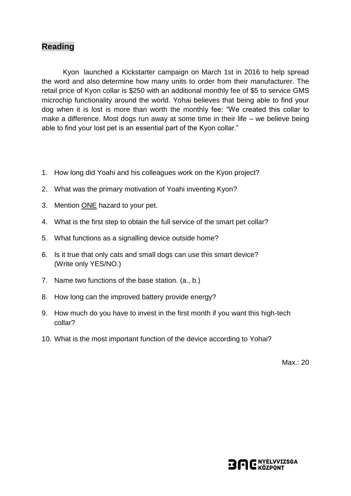[Kyon](http://kyontracker.com/) launched a Kickstarter campaign on March 1st in 2016 to help spread the word and also determine how many units to order from their manufacturer. The retail price of Kyon collar is \$250 with an additional monthly fee of \$5 to service GMS microchip functionality around the world. Yohai believes that being able to find your dog when it is lost is more than worth the monthly fee: "We created this collar to make a difference. Most dogs run away at some time in their life – we believe being able to find your lost pet is an essential part of the Kyon collar."

- 1. How long did Yoahi and his colleagues work on the Kyon project?
- 2. What was the primary motivation of Yoahi inventing Kyon?
- 3. Mention ONE hazard to your pet.
- 4. What is the first step to obtain the full service of the smart pet collar?
- 5. What functions as a signalling device outside home?
- 6. Is it true that only cats and small dogs can use this smart device? (Write only YES/NO.)
- 7. Name two functions of the base station. (a., b.)
- 8. How long can the improved battery provide energy?
- 9. How much do you have to invest in the first month if you want this high-tech collar?
- 10. What is the most important function of the device according to Yohai?

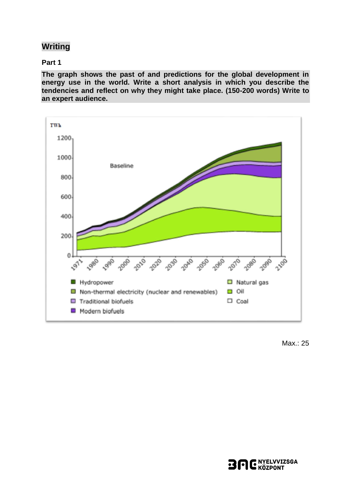# **Writing**

#### **Part 1**

**The graph shows the past of and predictions for the global development in energy use in the world. Write a short analysis in which you describe the tendencies and reflect on why they might take place. (150-200 words) Write to an expert audience.**